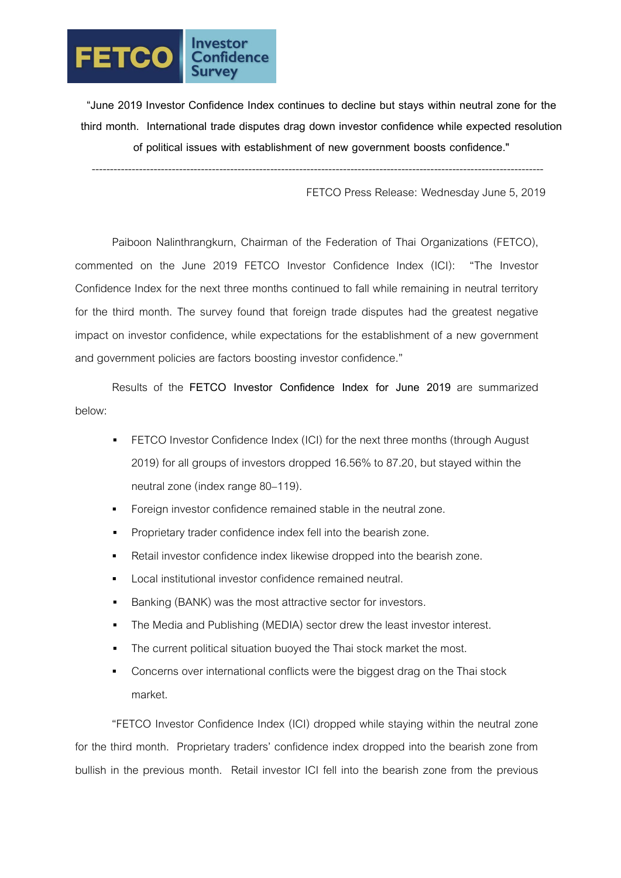

**"June 2019 Investor Confidence Index continues to decline but stays within neutral zone for the third month. International trade disputes drag down investor confidence while expected resolution of political issues with establishment of new government boosts confidence."**

----------------------------------------------------------------------------------------------------------------------------

FETCO Press Release: Wednesday June 5, 2019

Paiboon Nalinthrangkurn, Chairman of the Federation of Thai Organizations (FETCO), commented on the June 2019 FETCO Investor Confidence Index (ICI): "The Investor Confidence Index for the next three months continued to fall while remaining in neutral territory for the third month. The survey found that foreign trade disputes had the greatest negative impact on investor confidence, while expectations for the establishment of a new government and government policies are factors boosting investor confidence."

Results of the **FETCO Investor Confidence Index for June 2019** are summarized below:

- FETCO Investor Confidence Index (ICI) for the next three months (through August 2019) for all groups of investors dropped 16.56% to 87.20, but stayed within the neutral zone (index range 80–119).
- Foreign investor confidence remained stable in the neutral zone.
- Proprietary trader confidence index fell into the bearish zone.
- Retail investor confidence index likewise dropped into the bearish zone.
- Local institutional investor confidence remained neutral.
- Banking (BANK) was the most attractive sector for investors.
- The Media and Publishing (MEDIA) sector drew the least investor interest.
- The current political situation buoyed the Thai stock market the most.
- Concerns over international conflicts were the biggest drag on the Thai stock market.

"FETCO Investor Confidence Index (ICI) dropped while staying within the neutral zone for the third month. Proprietary traders' confidence index dropped into the bearish zone from bullish in the previous month. Retail investor ICI fell into the bearish zone from the previous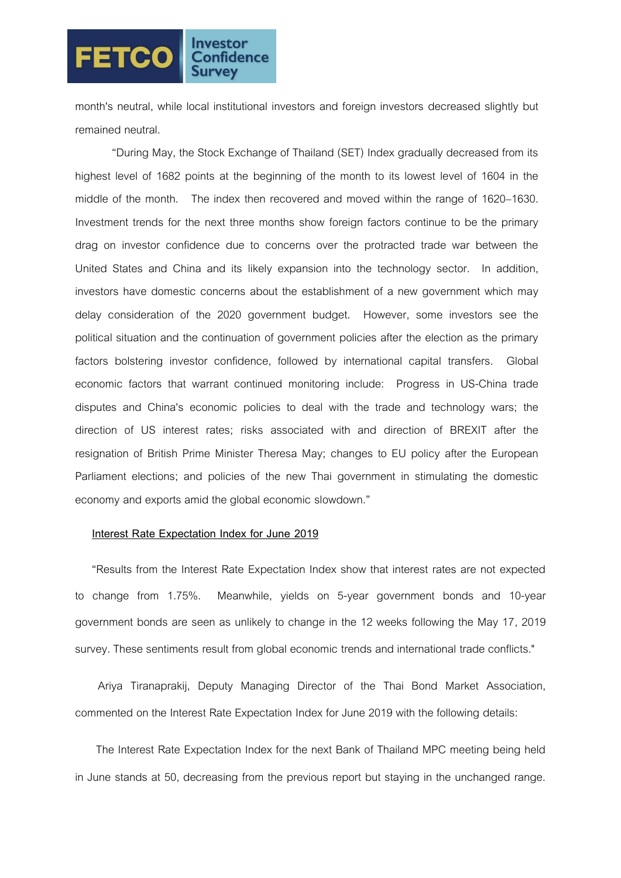## **FETCO**

month's neutral, while local institutional investors and foreign investors decreased slightly but remained neutral.

"During May, the Stock Exchange of Thailand (SET) Index gradually decreased from its highest level of 1682 points at the beginning of the month to its lowest level of 1604 in the middle of the month. The index then recovered and moved within the range of 1620–1630. Investment trends for the next three months show foreign factors continue to be the primary drag on investor confidence due to concerns over the protracted trade war between the United States and China and its likely expansion into the technology sector. In addition, investors have domestic concerns about the establishment of a new government which may delay consideration of the 2020 government budget. However, some investors see the political situation and the continuation of government policies after the election as the primary factors bolstering investor confidence, followed by international capital transfers. Global economic factors that warrant continued monitoring include: Progress in US-China trade disputes and China's economic policies to deal with the trade and technology wars; the direction of US interest rates; risks associated with and direction of BREXIT after the resignation of British Prime Minister Theresa May; changes to EU policy after the European Parliament elections; and policies of the new Thai government in stimulating the domestic economy and exports amid the global economic slowdown."

## **Interest Rate Expectation Index for June 2019**

"Results from the Interest Rate Expectation Index show that interest rates are not expected to change from 1.75%. Meanwhile, yields on 5-year government bonds and 10-year government bonds are seen as unlikely to change in the 12 weeks following the May 17, 2019 survey. These sentiments result from global economic trends and international trade conflicts."

 Ariya Tiranaprakij, Deputy Managing Director of the Thai Bond Market Association, commented on the Interest Rate Expectation Index for June 2019 with the following details:

 The Interest Rate Expectation Index for the next Bank of Thailand MPC meeting being held in June stands at 50, decreasing from the previous report but staying in the unchanged range.